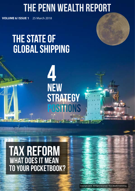# The Penn Wealth Report

**VOLUME 6/ ISSUE 1** 25 March 2018

# **THE STATE OF** global shipping



4 **NEW STRATEGY POSITIONS** 

# tax reform what does it mean to your pocketbook?

Copyright 2018. All Rights Reserved. Penn Wealth Publishing.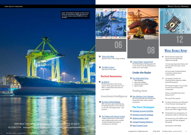9393 West 110th Street, 51 Corporate Woods, Overland Park, KS 66210 913.538.7174 www.pennwealthreport.com member.services@pennwealth.com

#### $\epsilon$  penn wealth publishing wealth. Success,  $H$ appin *Wealth. Success. Happiness.*



### 06 Tax Reform! The first overhaul to the US tax code in thirty years has been codified, so what does that mean to

Copyright 2018. All Rights Reserved.

#### IN TEA PARTY OC US . US OC THE BOSTON





# 12



- 04 *[Photo of theWeek](#page-2-0)* [SpaceX Falcon 9 first stage landing](#page-2-0)
- **05** *<u>The Week in Charts</u>* Top news of the week.

## your wallet? *Trading Desk*

06

**cover Containership awaiting loading in dock. There are approximately 400 liner services in the world making around 9,000 port calls per week.**

- 08 The State of Global Shipping After investors got burned during the global downturn, this industry is now rife with opportunity—but beware!
- 10 *The Problem with Johnson Controls* Under-performance of this industrial conglomerate and a number of other headwinds made us reevaluate our position.

### 12 *T. Boone Pickens' Inspired Fund* The NYSE Pickens Oil Response ETF is one of the more fasciniating new funds we've seen lately.

As Comcast drops bid, Disney will end up with Fox assets, minus Fox News

14 New Holdings in Four Strategies Our buys and sells over the period, along with other select analyst comments.

Air Force taps Lockheed Martin to produce autonomous cruise missiles

- *[Four Undervalued](#page-6-0) Gems* 131 Diana Shipping
- 2 Ultra Clean Holdings
- 3 Nordic American Tankers
- 4 Signet Jewelers

- *[Strategic Income](#page-10-0) Portfolio* 20
- *[Dynamic Growth](#page-11-0) Strategy* 22
- *[Global Leaders](#page-12-0) Club* 24
- *[Intrepid Trading](#page-13-0) Platform* 26
- *[New Frontier Fund](#page-14-0)* 28

The Howard Hughes Corp unveils its new luxury living tower in Honolulu

Bitcoin futures begin trading on the Chicago Board Options Exchange 16

> Disney-controlled Hulu had a blowout 2017

The end of the cashier?

US quashes China's Ant Financial bid to takeover Dallasbased MoneyGram 17

> The IEA confirms it: US shale producers are OPEC's biggest threat

US slams Germany over allowance of new Russian natural gas line 18

> GE announces a \$6.2 billion insurance write-off, then dropped the bomb

Venezuela's one saving grace, oil production, falls to a 28-year low 19

Top Quotes of the Week

## [Weekly Business Report](#page-8-0)

### *Tactical Awareness*

### *Investment Intelligence*

## *The Penn Strategies*

## *Under the Radar*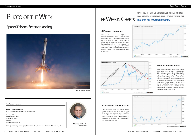# <span id="page-2-0"></span>PHOTO OF THE WEEK

#### Penn Wealth Publishing

**Subscription Information** http://www.pennwealthreport.com/the-report.htm[l](http://www.pennexcellence.com/Products___Services.html)

Penn Wealth Publishing 9393 West 110th Street 51 Corporate Woods Suite 500 Overland Park, KS 66210

This magazine is subject to copyright protection. All rights reserved. Penn Wealth Publishing, LLC.





Charts tell the story. Here are some of our favorites from recent days. For the top business and economics stories of the week, visit [Penn...After Hours](http://www.penneconomics.com/pennafter-hours.html) at [www.penneconomics.com](http://www.penneconomics.com).





**Oil's great resurgence**

Oil futures have risen from about \$43.75 per barrel six months ago to \$64.47 as of the 23rd of January. That's a 47% gain in half-a-year. Normally, we would take a position in one of our two go-to short oil ETFs at this price, but experience tells us we may not be at the ceiling just yet. Yes, higher prices help OPEC and Russia, but they also help US producers, which is a good thing. Sadly, there go prices

at the pump.

**Michael S. Hazell**  *editor in chief*

# THE WEEK IN CHARTS

### **Does leadership matter?**

### **Rate worries spook market**

While they play nice in public view, there is an ongoing feud between the two former CEOs of industrial giant General Electric. The legendary Jack Welch regrets grooming his replacement, Jeffrey Immelt, and Immelt thinks that Welch left him a lumbering giant whose best days were behind it. Whose right? All metrics support Welch. The only question now is whether or not the company can return to greatness—and whether or not John Flannery is the right person to head the turnaround effort. (We say no.)

The stock market finally took a little breather early in the week, but it wasn't due to geopolitical concerns or earnings. It had everything to do with fears that the Fed will raise interest rates quicker than earlier anticipated due to the robust US economy. The 10 year Treasury rate reflects this concern.



## SpaceX Falcon 9 first stage landing...



*Photo Courtesy: SpaceX*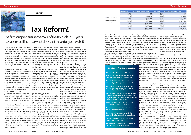### <span id="page-3-0"></span>Tactical Awareness that the community activities role acontext renew the community of the community of the community  $\Gamma$ actical Awareness

One final note on education. There was fear-mongering surrounding grad school students who receive tuition assistance for teaching classes. One headline screamed "Graduate student tax bills climbing by 400%." The proposed change to these tuition waivers (making the tuition taxable as income) had no chance of making it into the final bill, so the fear-mongering was just that.

**right** Rates under the new tax law have gone down, while the income thresholds have gone up

| <b>New Rate</b> | For income levels over | <b>Old Rate</b> | For income levels over |
|-----------------|------------------------|-----------------|------------------------|
| 10%             | \$0                    | 10%             | \$0                    |
| 12%             | \$19,050               | 15%             | \$19,050               |
| 22%             | \$77,400               | 25%             | \$77,400               |
| 24%             | \$165,000              | 28%             | \$156,150              |
| 32%             | \$315,000              | 33%             | \$237,950              |
| 35%             | \$400,000              | 35%             | \$424,950              |
| 37%             | \$600,000              | 39.60%          | \$480,050              |



Taxation

of education. That truly is an enormous change. Now, if we could somehow get school vouchers written into law, the education system in America would truly undergo a radical change for the better. The teachers' union will fight to the death against that change.

*The marriage penalty is gone* Under the old tax laws, two single people living together and filing separate taxes would pay less than a married couple filing jointly, but with the exact same income as the two single filers. Under the new law, the "married filing jointly" income thresholds are exactly double the single thresholds, negating this thoughtless penalty.

#### *Capital gains taxes remain mostly the same*

There were some ugly ideas for the new tax plan either floating around in congress, or in the minds of fear-mongering journalists. One dealt with the way capital gains on investments are taxed. In the end, however, little changed: short-term capital gains on investments held less than one year before being sold will still be taxed at the investor's ordinary income rate. Taxes on long-term gains will be taxed at 0%, 15% (overwhelmingly most Americans), or 20%, depending on the taxpayer's level of earned income.

*The mortgage interest deduction* Talk about hyperbole. We were watching CNBC one day in early November, when the red-faced CEO of the National Association of Home Builders (NAHB) proclaimed, *"This* (tax bill) *will cause a recession!*" Huh? Clients were calling in upset because they would no longer be able to deduct their home mortgage interest. Not so fast.

There *were* changes to the mortgage interest deduction, but unless you are Jay-Z or Beyonce (yawn), with a \$43 million mortgage on your new digs, odds are astronomically good

that you won't be affected. If you have an outstanding home mortgage loan of \$500,000 or less, you will still be able to deduct 100% of your mortgage interest on your taxes. But, suppose you are

a member of the elite, and have a \$1 million mortgage, here's what happens: you will still be able to deduct the interest from the first \$500,000 of your loan, but not the interest from any amount over that halfa-million. A housing recession? Really? (Interesting observation here: According to the press, the tax cuts were only for the wealthy. So, how come it seems like the rich are the only ones getting hammered?)

#### *SALT in the wound for big earners in high-tax states*

It's bad enough that high-tax states like California, New York, and New Jersey charge their denizens a confiscatory tax rate, but now high-earners will also have limits placed on what they can deduct from their federal taxes. Under the new law, these individuals will only be able to deduct the first \$10,000 of state, local, and property taxes on their itemized federal return. Until now, that amount has been unlimited. On the bright side, the law virtually eliminates the alternative minimum tax, which should help the muni bond market.

#### *The corporate tax rate*

With respect to America's competitive standing in the global business community, we saved the best for last. Of all the developed nations, the US had the most onerous tax rate on the planet. The 35% corporate tax rate not only dissuaded international companies from setting up shop in the US (hiring US workers), it encouraged US companies to set up their headquarters overseas, build new plants outside of this country, and keep cash earned globally outside the reach of Uncle Sam. It was a joke, with our global competitors laughing all the way to the bank. American enterprise rejoice, those days are gone.

ioint filers. "I can no longer deduct my medical expenses." Wrong. Not only was the deduction not eliminated, it was actually expanded for two years. Under previous tax law, medical expenses must exceed 10% of adjusted gross income (AGI) to qualify for a write-off. Under the new law, that threshold will be reduced to 7.5% for the 2017 and 2018 tax years, and then return to 10% in 2019. The AARP's predictable and stale whining about the new law is vacuous.

> The new 21% corporate tax rate had, quite literally, an immediate effect. Companies began announcing worker bonuses, pay increases, increased 401(k) matches, and a massive repatriation of cash held overseas. If you forget all the other goodies in the new tax law, this one component will have a positive effect on the US economy for years to come.

It was a long-fought battle—one which detractors had predicted (and hoped) would never bear any meaningful fruit. But all of the naysayers and critics, with their own personal agendas, have been defeated. On Friday the 22nd of December, the president signed the early Christmas gift, giving Americans—across the economic spectrum—a massive tax cut, the likes of which has not been seen in over three decades.

#### *Will the new tax law really lower my taxes?*

There were a litany of false narratives written about the tax reform bill, and too many Americans still take what they read in the papers and see on TV as gospel. Here are a few examples of the bunk we heard in the weeks leading up to the plan's passage:

- "The tax plan only helps the rich"
- "My mortgage interest deduction is gone"
- "I can no longer deduct my student loans"
- "I can't deduct my state taxes any longer"
- "I can't deduct my medical expenses"
- "The child tax credit is gone"

• "The real estate market will be decimated" These statements run the gamut between misleading and outright false. So, let's take a deeper dive and see what the new bill really does, and separate fact from fiction.

#### *Your tax return on a postcard?*

Ever since former Congressman Dick Armey of Texas famously waved around his tax postcard in the mid-90s, an ultra-simple tax return has been the dream of everyday Americans, and the nightmare scenario for tax preparers and tax lawyers across the country. Most never believed that day would actually come, considering the power of the lobbyist groups fighting for the status quo. However, when Americans sit down in early 2019 to begin preparing their 2018 taxes, something very close to this dream will become reality for about 75% of all taxpayers.

How, exactly, does the new tax law achieve this level of simplicity? It certainly wasn't done by the reduction of tax brackets. President Trump wanted the current seven brackets truncated down to just three, while the US House wrote four brackets into their tax bill. In the end, however, the US Senate demanded that the number of brackets remain the same. What did change, however, was the rates for each, and the near-doubling of the standard deduction.

Under previous law, a married family filing jointly had an automatic standard deduction of \$13,000. The new standard deduction is nearly doubled, to \$24,000. This means that millions of taxpayers who itemized deductions in the past will not need to under the new law unless they can dig up over \$24,000 in write-offs. Nearly 50 million households (roughly 30% of all filers) itemized their taxes under the old law; expect that number to be greatly reduced with the new standard deduction.

#### *The new rates for each bracket*

The number of brackets may have stayed the same, but the rates in each did not. Without getting into the mundane details and specific adjusted gross income cutoffs. the 12% bracket is reduced to 10%, the 15% bracket is reduced to 12%, the 25% bracket is reduced to 22%, and the 28% bracket is reduced to 24%. The 24% tax bracket takes us all the way up, now, to \$315,000 of adjusted gross income (from \$237,950 under the old 28% rate), so it becomes abundantly clear that nearly every taxpayer is going to make out better under the new plan. And remember, the standard deduction for a married couple filing jointly was raised to \$24,000. Even if you make more than \$600,000 per year your tax rate (above that amount) is still reduced—from 39.6% to 37%.

*Three lies: kids, drugs, and education*

One of the complaints we heard about the new tax law was that the coveted child tax credit was going away. Simply not true. Not only is the child tax credit still in the new law, it has actually expanded to \$2,000

per qualifying child, with the income credit phase-out increased to \$400,000 for

"I can no longer deduct my student loan interest on my taxes." Nope. Former students paying off their seemingly-endless student loan debt will still be able to deduct the first \$2,500 of interest, just as under previous law. What's more, parents saving for their kids' education are about to get a nice treat with changes to the laws surrounding 529 college savings plans.

Until now, parents or grandparents have been able to save up quite a bit of money for a child's college education in a 529, with the money growing tax free and even pulled out (for qualified college purposes) and spent tax free. But what about all of the parents who pay dearly for their child to attend a private primary or secondary school? Not only weren't 529 plan funds eligible, parents couldn't even deduct the tuition on their taxes—despite the fact that they pay (through state, local, and property taxes) for the public education system.

Under the new law, owners can use their savings in a 529 plan to pay for the beneficiary's private school at *any* level

# **Tax Reform!**

## The first comprehensive overhaul of the tax code in 30 years has been codified—so what does that mean for your wallet?

**Highlights of the Tax Reform Law**

The corporate tax rate drops from 35% to 21%

Both bracket rates and income thresholds have become more favorable (see chart)

The standard deduction for married couples filing jointly will nearly double, to \$24,000.

The child tax credit has been expanded, with a higher deduction amount and a higher income phaseout threshold.

Medical deductions and student loan interest deductions remain intact. Furthermore, parents can now use 529 plans to pay for primary and secondary education costs.

Mortgage interest deduction remains intact, through first \$500,000 of home loan.

The "marriage penalty," for all intents and purposes, has been eliminated.

Big earners in high-tax states will feel the pinch with reduced state/local tax deduction

Long- and short-term capital gains rates remain largely untouched

The "death tax" exemption will be initially doubled, then the tax will be eliminated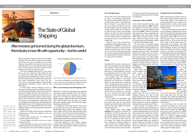#### **Fear and opportunity**

The fear that comes after getting burned can open up tremendous opportunities for investors with fortitude and vision. On 20 March 2009, massive US banking firm Bank of America<sup>BAC</sup> was selling for \$2.53 per share, down from \$38 per share the previous October—just five months prior. Average investors didn't want anything to do with the stock. Could it have dropped further? Sure. But it was clear at that point that the US government was not going to let it fail. Astute investors swooped in and drove the price up to \$15 per share just two months later.

Today we look at the carnage that is the publicly-traded shipping industry. Like banking back in 2008/09, we know some companies may fail, but we also know the industry isn't going away; quite the opposite. So, the trick is in becoming somewhat of an oracle: putting yourself 30,000 feet up, looking down at a timeline of the industry—past, present, *and* future.

We are bullish on commodities right now, and higher prices in that sector would be another good sign for the industry. Shippers can raise their spot and time-charter prices when bulk suppliers can receive more for their goods.

#### **Trends**

The global GDP continues to heat up, and that is certainly good news with respect to the shipment of goods and fuel. Despite trade war talks emanating from D.C., we believe this is simply posturing to get better trade deals for the US. In other words, while others are selling, we tend to buy.

For example, when "the NAFTA railroad," Kansas City Southern<sup>kSU</sup>, was getting hammered over discussions of scrapping NAFTA, we were buying. Now, as false narratives of global trade wars circulate the news rooms like flies, dry bulk shippers are getting hit (rolled steel and aluminum are shipped by this method). This is despite the fact that the demand for coal and iron ore is increasing once again. Freight rates have also been increasing in tandem with demand.

\$400 million Greek carrier **Diana Shipping** (DSX \$3-**\$4**-\$6), for example, just negotiated a \$12,200 per day gross charter rate with Glencore Agriculture, a major Dutch-based supplier of farming commodities, for its Panamax dry bulk vessel the m/v Calipso. The Calipso had previously been chartered to another company at a gross charter rate of \$9,900 per day. In other words, the new contract represents a 23% rate hike for Diana. Diana has a fleet

of 50 dry bulk vessels of various sizes, with a combined carrying capacity of 5.8 million dry weight tons.

#### **Crude prices, LNG, and M&A**

On the 20th of December last year, crude shipper Gener8 Maritime (**GNRT** \$4-**\$6**-\$7) was selling for \$4.27 per share. The next day, Gener8 and Antwerp, Belgium-based Euronav NV (**EURN** \$7-**\$9**-\$10) announced their intention to merge, creating the top independent large crude tanker operator. GNRT spiked to \$6.94 per share—a 62% spike—within two weeks. Still, the company's market cap is just \$500 million, making it a great potential takeover target.

> **F** r o n t l i n e (**FRO** \$4-\$5-\$7) is a \$770 million liquid bulk shipper which also diversifies

The two trends of increased merger activity and rising oil costs/demand should grease the skids for improved shipper metrics. Remember that, in addition to crude, liquefied natural gas (LNG) is also shipped aboard these vessels, and the US has a president committed to exporting both of these energy sources. This marks, despite the rhetoric of previous presidents, the first time that the United States has been a real exporter of energy, and this is not going to happen via undersea pipelines (which are prohibitively costly

and inefficient). While there may be some dispute over which country has the world's largest natural gas reserves, there is no doubt that America has the most advanced system of extracting those reserves in place right now, and is fully committed to production. Russian President

Vladimir Putin has used his natural gas company, Gazprom, as a tool to keep Eastern Europe at his mercy. Recall that a 2008 dispute between Russia and Ukraine led the former to cut off gas supplies to Eastern Europe. This threat re-emerged following the Russian annexation of Crimea.

#### **Fundamentals and chief players**

This great downturn in the industry spooked investors who had thought the sky was the limit for publicly-traded industry players. After the steep losses, they became quite qun-shy.

Before mentioning any specific names we like, investors should understand that most of the major players in this industry are currently operating in the red after a protracted downturn. In other words, buying individual names in this segment is not for the faint of heart.

## The State of Global **Shipping**

One way to diversify away risk would be to buy a basket of shipping stocks. Handsdown, the best option for this basket would be the Guggenheim Shipping ETF, with the appropriate symbol **SEA** (\$11-**\$11**-\$13). Not only does it have a current dividend yield of 5.41% (as of the time of this writing), it holds 25 major players across the purpose-built ship spectrum. Top holdings include A.P. Moller Maersk, Golar LNG, COSCO Shipping, Seaspan, and Frontline. While the current price of SEA is floating around \$11 per share, it was trading for \$23 per share before the most recent downturn.

Russia currently still supplies half of Europe's natural gas needs via pipeline, but President Trump recently told a cheering crowd in Poland that help is on the way, via LNG-carrying ships coming from US ports. In fact, LNG [bunkering facilities](https://www.penneconomics.com/financial-terms--concepts.html) are being built at breakneck speed at ports around the world to handle these shipments. These specialized facilities are required to convert natural gas to liquid by cooling the gas to around -260° F, then to convert back to gas through a process known as regasification. do believe the industry is in the nascent stages of a cyclical comeback. Despite the inherent risks discussed, we added **SEA** to the [Dynamic Growth Portfolio](https://www.pennwealthreport.com/the-penn-portfolios.html) as a satellite (smaller) position, buying at \$11.03/share. Within the higher-risk Intrepid Trading [Platform,](https://www.pennwealthreport.com/the-penn-portfolios.html) we picked up Nordic American Tankers (**NAT** \$2-**\$2**-\$9) at \$2.10/share. Please note that we monitor these positions constantly, and review each client's risk tolerance before investing. As always, consult your financial professional before adding a position. Happy sailing!

Previously-mentioned Diana Shipping is one of our favorite dry-bulk players, and has a high degree of analyst coverage (at least they are willing to make a rating on the firm, which gives some comfort). **DSX** is currently trading for \$3.74 per share, down

**MAERSK** 

from the \$8 to \$12 range it traded in over the 2009- 2016 period. We place the fair value of the stock at around \$8 per share.

into the dry bulk arena. Frontline's stock price surged about 18% last week after receiving a "buy" rating from DNB Markets. The analyst house also upgraded the overall industry to a "buy" for the first time since spring of 2016.

So, what moves have we made? We

What do you think of when you hear the words "global economy?" We know that the world is more interconnected than ever, and we certainly hear a lot about America's trade deficit with countries like China and Japan. But, did you ever stop and think about exactly *how* all of those goods make their way from the producing country to the consuming country?

The roots of shipping goods by sea can be traced back to the 3rd century BC, when Phoenician traders realized they could vastly expand their markets by loading their grain-filled bags, wooden crates, and barrels of cargo on ships, moving them by water rather than across mountainous, rocky terrain. This pro- . cess, known as break-bulk shipping, remained largely unchanged for thousands of years, until the mid-20th century.

In 1956, modern container shipping was born. In that year, US trucking entrepreneur Malcom P. McLean, who had already purchased a steamship company for experiment, stacked 58 large metal containers on a ship for transport from New Jersey to Houston. He envisioned containers going from mode-to-mode, trucks to ships to trains, without the need to unpack the goods. The industry was revolutionized. Purpose-built ships were designed and manufactured, and shipping costs plummeted by over 75%. The shipping lines we know today, such as A.P. Moller-Maersk and China Ocean Shipping (COSCO), came into being thanks to McLean's innovative mind.

Today, over \$4 trillion worth of goods is transported annually by one of five main methods (on the purpose-built ships):

• Container ships transport toys, TVs, clothing, meat, computers, and other "hard" goods.

• Dry bulk shippers move grain, coal, iron ore, cement, sugar, salt, and sand.

• Liquid bulk shippers transport crude oil, petrol, fuel oil, liquefied natural gas (LNG), vegetable oils, and even wine!

• Break-bulk ships still move items difficult to aggregate.



• Ro-ro ships are designed to carry wheeled cargo, such as cars, trucks, buses, and construction equipment which can be rolled-on and rolled off (hence, the name ro-ro).

#### **With so much demand, why did shipping crash?**

While there is an enormous demand for the shipment of all types of goods, especially with the US export of LNG coming online and the growing rate of global growth, let's not forget the virtual seizing-up of the global economy in 2008 and 2009 due to the banking crisis. Until that point, China was given an unsustainable growth multiple, and the other side of the supply/ demand equation took off.

As shippers got more greedy and their "fear of missing out" grew, they were more willing to buy into the double-digit Chinese growth story, adding an enormous number of ships to their respective fleets. What none of them saw coming was the great slowdown in the emerging markets, which were so heavily reliant on the financial institutions in the developed world. A shipping glut quickly formed, driving many shippers to the edge (or over the edge) of insolvency.

## After investors got burned during the global downturn, this industry is now rife with opportunity—but be careful

### Maritime

Over \$4 trillion worth of goods annually is transported across the seas

*Photo Courtesy: A.P. Moller Maersk*

*The content of this report reflects the personal views, opinions, and research of Penn Wealth Publishing. While measures are taken to help* 

*assure the accuracy of data, no guarantees can be made and the firm is not liable for any losses incurred by subscribers This is not a solicitation to buy. Always consult your investment professional before investing* 

*any money.*

<span id="page-4-0"></span>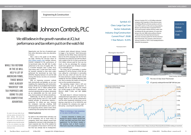*See disclaimers on the back cover of The Report. This is not a solicitation to invest. Always consult your financial professional before making an investment.*

\*Purchased at \$40.74



# Johnson Controls, PLC

 Suitable for the Global Leaders Club

Johnson Controls, PLC is a \$35 billion industrial company which operates in three diverse areas: its building efficiency division produces and services HVAC systems, its fire and security products division was formed when it acquired TYCO in 2016, and its power solution division makes vehicle batteries for the auto industry. JCI came into being in the mid 1880s when professor Warren S. Johnson from the State Normal School in Wisconsin received a patent for the first electrical room thermostat. The company, which became Johnson Controls in 1974, is now headquartered in Ireland for tax purposes.

<span id="page-5-0"></span>

Engineering & Construction

*The content of this report reflects the personal views, opinions, and research of Penn Wealth Publishing. While measures are taken to help assure the accuracy of data, no guarantees can be made and the firm is not liable for any losses incurred by subscribers. This is not a solicitation to buy. Always consult your investment professional before* 



*investing any money.*

Opportunity cost: the loss of potential gain from other alternatives when one alternative is chosen. Take a look at the graph on the follow-

ing page, showing the one-year return of [Penn Global Leaders Club](https://www.pennwealthreport.com/the-penn-portfolios.html) member Johnson Controls compared to the performance of its benchmark index, the S&P 500. It underperformed to the tune of roughly 30%. For a 12-month timespan, that is pretty lousy. (That being said, it could have been worse: GE investors watched as that stock underperformed the benchmark by more than 60%!)This disparity between JCI and the S&P, among other factors, has led us to reevaluate our position.

With an improving economic outlook, both domestically and globally, we are overweighting the engineering and construction industry. While we are doubtful that President Trump will get the \$1 trillion public/private infrastructure investment he wants, infrastructure spending will, we believe, absolutely go up substantially over the next several years. And we believe JCI will be a beneficiary.

## We still believe in the growth narrative at JCI, but performance and tax reform put it on the watch list

Additionally, we like the automotive segment going forward, and JCI is the world's leading provider of automotive batteries producing 152 million per year. However, the company's start-stop enabling AGM (advanced glass mat) batteries aren't used in the burgeoning electric vehicle world, which is advancing more quickly than most realize.\*

#### **Global headwinds**

Tax reform in the United States will help a lot of US companies; not so much those US companies which have already moved their headquarters overseas to take advantage of a lower corporate rate. One of the catalysts for JCI's acquisition of Tyco back in 2016 was the fact that Tyco already had its headquarters

in Ireland, which allowed Johnson Controls to trigger a "tax inversion." Both Democratic nominees for the White House slammed the deal on the 2016 campaign trail. Not that the acquisition was a bad one, but with tax reform now a reality in the US, it is fair to say that the \$16.5 billion Johnson paid for Tyco was too much, as the tax advantage the company would have gained over US-based competitors is essentially gone.

The rising cost of commodities is another headwind JCI will be facing in 2018. We are now calling for a mini-boom in commodity prices this year, which will raise the cost of the steel, aluminum, copper, and other metals needed for the firm's building efficiency division. Not to mention the impact of rising fuel costs on the manufacturing process.

The operating margin—what is left over after paying the costs of production—is relatively slim for JCI. Compare the company's 10.54% margin to GE's 12.58%, Emerson Electric's (EMR) 17.36%, and 3M's (MMM) 24.73%.

No doubt about it—Johnson Controls has underperformed expectations since the Tyco merger. Based on the sub-par performance and the other headwinds mentioned, we are placing a stop-limit on JCI at \$38.50/\$32, and will reevaluate the company once again in late spring—assuming the stop hasn't hit.

#### \*How to potentially take advantage of the need for EV batteries

Investors interested in battery production for electric vehicles should look at FMC Corp (FMC) and Tesla (TSLA, think gigafactory). For the lithium needed in the batteries, look at North Carolina's Albermarle Corp (ALB), a leading supplier.

While tax reform

in the US will

help a lot of

American firms,

those which

have already

"inverted" for

tax purposes are

going to lose

this competitive

advantage.

## Symbol: JCI Class: Large Cap Core Sector: Industrials Industry: Eng/Construction Current Price\*: 39.80 1-Year Return: -9.25%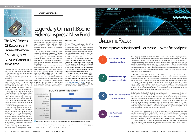<span id="page-6-0"></span>

# UNDER THE RADAR

## Legendary Oilman T. Boone Pickens Inspires a New Fund

Admittedly, we love ETFs. Not only do they now cover virtually every nook and cranny of the investment universe, they can even be designed to emulate a certain investment philosophy, or even the process of a specific investor.

Take one of the most recent entrants to the market: the NYSE Pickens Oil Response ETF, symbol BOON. The fund's goal is to get inside the mind of T. Boone Pickens, the 89-yearold famed oilman and industry expert. Put another way, Pickens is the fund personified.

While his hedge fund may be retired, Pickens' philosophy is thoroughly imbued throughout the fund. Not only will BOON seek out quality companies engaged in the exploration and production of energy, it will also invest in companies otherwise tied to the US energy renaissance—including large industrial consumers.

Here's the thinking behind the fund: when oil prices are rising, upstream, midstream, and downstream oil and gas companies should benefit. But, with the advent of the US energy renaissance, a large array of manufacturing firms and utilities, which rely on cheap fuel for profits, should benefit when costs come down. BOON invests in both the supply *and* the demand side of the equation, so investors can take part in the sector, but hedge against global price declines.

Without looking at any of the 81 holdings in the fund, what do you think the top



## The NYSE Pickens Oil Response ETF is one of the more fascinating new funds we've seen in some time

position would be? Maybe an Exxon Mobil (XOM) or a Royal Dutch Shell (RYDBF)? Or what about an Apache (APA) or Halliburton (HAL)? Nope. The largest holding in the fund is the Southern Copper Company—a commodities play!

But let's back up just a bit. This is not going to be a "typical" actively managed ETF. In fact, each of the 81 stocks in the NYSE Pickens index is given an equal-weighted 1.2346%, adding up 100%. Holdings are objectively identified from market segments which have a high correlation to changes in the price of ICE Brent Crude.

As for the fund's parameters, the base universe consists of the top 1,000 US equities by market cap, with \$2 billion being the floor. These stocks are then analyzed for their correlation to ICE Brent Crude over select periods of time. Those which fall in the top 4 deciles of each time-frame are selected for membership.

A strategic review of the portfolio is completed each December, and equal-weighted adjustments are performed each March, June, and September. This means that Southern Copper won't be the lead holding for long.

#### **The Pickens Plan**

This new ETF was conceived out of *The Pickens Plan*, announced back in 2008 and touted as "one man's crusade to achieve American energy independence." Few could have foreseen that crusade achieving its mission within just a decade, especially considering the fact that this has been a stated national goal since the 1972 oil crisis, but it did.

> Nordic American Tankers purpose-built vessels worldwide. The Bermuda-based company has a fleet of 33 Suezmax Nordic American Tankers (NAT \$2-**\$2**-\$9) is a liquid bulk shipper which operates double-hull, crude tankers—the largest such fleet in the world. The company recently issued a rather upbeat Q4 earnings report, with expectations for a turnaround in the second half of 2018. Nordic American's TCE (time charter equivalent) for Q4 was \$13,800 per day per ship, compared to a TCE of \$10,600 in Q3. NAT's fleet has an aggregate cargo capacity of 33 million barrels of crude, meaning they are well positioned to take advantage of increased demand and higher oil prices. This past January, China's crude imports rose by a whopping 20%, which is a good sign for the liquid bulk segment of the industry.

While the US still imports energy (due largely to a lack of refinery capacity), we also now export various forms of the commodity. The energy sector employs over 6 million US workers, and that number continues to grow thanks to a resurgence in coal, advancements in natural gas extraction methods, and the nascent renewable resources industry.

About six months ago we turned bullish on energy, overweighting the sector. While we own specific companies within the various Penn platforms, our search for a unique energy ETF as a satellite position within the [Penn Dynamic Growth Strategy](https://www.pennwealthreport.com/the-penn-portfolios.html) led us to this new vehicle. We purchased BOON within the DGS on 07 Mar 2018 at \$24.93 per unit.

### Energy Commodities

Four companies being ignored—or missed—by the financial press

Diana Shipping, Inc. (DSX \$3-**\$4**-\$6) is an Athens, Greece-based maritime shipping company. When you think of commodities traveling from their source to their destination e.g. iron ore from Australia to China, think Diana Shipping. The company is a cyclical play on the state of the global economy, and the demand for commodities. Diana owns a fleet of 50 dry bulk vessels with a combined carrying capacity of 5.8 million dwt (deadweight tonnage), and carries a market cap of just \$469 million, giving it tremendous room to grow. The enterprise value of Diana Shipping is \$1.054 billion, which means a potential buyer would need to shell out at least double what Diana's market cap would indicate, making it an expensive acquisition for one of the larger industry players.

(**Update**: *We sold UCTT at \$25.95 after it spiked for a 20% short-term gain*) We added Ultra Clean Holdings, Inc. (UCTT \$9-**\$22**-\$35) to the New Frontier Fund at \$21.61 per share for a number of different reasons. First, the California-based semiconductor equipment company is in a red-hot industry, but it should escape the "just dumped by Apple" headline threat held over the heads of direct semiconductor manufacturers (it makes the equipment, not the chips). Secondly, UCTT has a small-cap profile—the market cap is just \$780 million—and appears poised for explosive growth. Finally, the company has a strong management team and carries an actual P/E (yes, it turns a profit) of just 12.37—about half that of the industry. On 03 Jan 2018, the company will be added to the S&P SmallCap 600 Index.



After plummeting nearly 20% on a 5.2% drop in same-store sales and mediocre 2019 guidance, Signet Jewelers (SIG \$39-**\$39**-\$78) hit a new 52-week low. With its industry leadership position and paltry 8 p/e, we believe investors dramatically overreacted during the sell-off. The company truly is a jewelry powerhouse, owning such iconic brands as Zales, Kay, and Jared, not to mention a number of regional, UK, and Canadian brands. Despite having just a \$2.4 billion market cap, SIG is the largest specialty player in the industry. Annual revenues have been steadily growing for the past decade, from \$3.6 billion in 2008 to \$6.4 billion in 2017, and earnings have remained in the black.



*The content of this report reflects the personal views, opinions, and research of Penn Wealth Publishing. While measures are taken to help assure the accuracy of data, no guarantees can be made and the firm is not liable for any losses incurred by subscribers. This is not a solicitation to buy. Always consult your investment professional before investing any money.*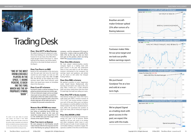#### <span id="page-7-0"></span>PENN WESTMENT INTELLIGENCE AND REPORT OF THE REPORT OF THE REPORT OF THE REPORT PERSON NEGLECTION OF THE REPORT PENN WESTMENT INTELLIGENCE investment intelligence investment intelligence

# Trading Desk



"One of the most knowledgeable players in the space, t. boone pickens, is back-

ing the fund,

which has the appropriate symbol

'boon'".

#### **Penn: Open UCTT in New Frontier**

We added semiconductor equipment maker Ultra Clean Holdings, Inc. to the New Frontier Fund at \$21.61 per share. This \$780 million small-cap gem carries a P/E of just 12—about half that of the industry. See further details of the firm in the *Under the Radar* section of the Report.

#### **Penn: Take Profits on NKE**

Based on the crazy gyration in the stock price over the past year, and since the stock had reached our price target, we took our 24% gain on footwear-maker Nike (NKE \$50-**\$65**- \$65). We did this on the trading day of the earnings report (after hours) because, quite often, even good news causes an immediate drop in the share price.

company—and the subsequent 25% jump in share price—made us take our profits off the table. 25%, by the way, was also our shortterm gain on the position, which was being held in the **Intrepid Trading Platform**.

#### **Penn: Close GT in Intrepid**

Two factors made us sell the Goodyear Tire we picked up almost precisely two months ago: it hit our initial price target, and we are beginning to get nervous about the competitive atmosphere within the rubber and tire industry. We will never hesitate to take a short-term, double-digit gain off the table and wait to re-deploy the proceeds somewhere else.

International energy giant Total (TOT) had a really good year. With a revenue increase of 17% in 2017 and strong earnings increases over each of the past three years, we believe this company is a worthy addition to the Penn Global Leaders Club. The 5% dividend doesn't hurt, either. We purchased the position at \$56.37 per share, with an initial price target of \$70.

#### **Nomura: Raise WYNN price target**

Analysts at Nomura Instinet reiterated their buy rating on gambling house WYNN (our favorite industry player, by the way) and raised the company's price target from \$176 to \$195. WYNN blew past that target within minutes of the report's release.

#### **Penn: Take profits on Embraer**

We were prepared to hold Brazilian aircraft maker Embraer (ERJ) for the long haul, but the rumor that Boeing was going to takeover the

#### **Penn: Open SIG in Intrepid**

this report reflects the personal *views, opinions, and research of Penn Wealth Publishing. While measures are taken to help assure the accuracy of data, no guarantees can be made and the firm is not liable for any losses incurred by subscribers. This is not a solicitation to buy. Always consult your investment professional before investing any money.*

We have played industry-leading jewelry company Signet as a trading stock with great success in the past. We understand when to buy...and when to sell. We believe investors overreacted to the company's Q4 earnings report and guidance, and picked up the shares at \$40 within the Intrepid Trading Platform.

#### **Penn: Open NWL in Intrepid**

We opened a position in iconic Tupperware maker Newell Brands (Rubbermaid) after learning of Carl Icahn's new stake in the company. With a 9.92% p/e, a 3.58% dividend yield, and shares sitting down 50% from their 52-week high, the trade was calling our name.

#### **Penn: Open TOT in Global Leaders**

#### **Penn: Open BOON in DGS**

T. Boone Pickens has backed a fascinating new energy ETF with a lot of promise. BOON opened at \$25 per unit, zeros in on energy and other companies which move in sync with the price of crude. It even includes such commodity holdings as Southern Copper. We opened as satellite in the DGS at \$24.93/share.

We've played Signet as a trading stock with great success in the past; we expect the same with this trade.

249.78

We purchased Goodyear Tire at a low and sold at a nearterm high.

Footwear-maker Nike hit our price target and we took our profits before earnings report.

Brazilian aircraftmaker Embraer spiked 25% after rumors of a Boeing takeover.

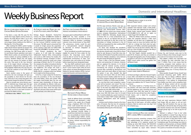US QUASHES CHINA'S ANT FINANCIAL'S BID to takeover Dallas-based MoneyGram

## Domestic and International Headlines

### INTERNET RETAIL

And the saga continues. Nearly a year ago, [we](https://www.penneconomics.com/business--professional-services.html) [reported on the duel between](https://www.penneconomics.com/business--professional-services.html) China's Ant Financial and Kansas-based Euronet (EEFT \$71-**\$85**-\$101) for control over money transfer services company MoneyGram International (MGI \$11-**\$12**-\$18). Ultimately, despite being a Chinese firm in a more protectionist environment in the US, we figured that the \$75 billion Ant would get its way. Not so fast. The Committee on Foreign Investment in the US (CFIUS) just torpedoed the deal, sending MGI's share price down to \$12.40.

For those who doubted the president's US-centric view, the recent Samsung ruling and this decision should make it clear that he meant what he said. Because of Jack Ma's close relationship with President Trump (Ma controls Ant, the former Alibaba subsidiary), many believed the deal would ultimately be approved.

There is often a fine line between protectionism and protecting US interests, however, and we applaud this decision. In its denial, CFIUS cited US national security concerns. Considering the amount of highly-sensitive personal data controlled by MoneyGram, and China's overt and covert efforts to hack every US system it can, why *shouldn't* the deal have been shot down? After all, \$44.5 billion, US-based Euronet initially outbid Ant for control of the company (though Ant subsequently offered \$1.2 billion, or \$18 per share, for MGI).

So, now that their main competitor is gone, what will be Euronet's next move? The company said it still sees a "compelling commercial logic" to the deal, but added that there is no guarantee any new offer will be made.

> Ultimately, the Ward Village community will consist of over 4,500 residences and one million square feet of retail space—all within walking distance. Want to reserve your new digs? Visit the company [here.](https://www.wardvillage.com/residences)

From an investment standpoint, this is a tricky issue. With MGI down near its 52-week low, it would probably be a great investment *if* a new deal is made. If EEFT simply walks away, however, MoneyGram's stock will continue to languish.

Investors tend to believe, based on the share price of Euronet, that the two US companies will eventually merge. EEFT was up about 4% immediately following the CFIUS decision.



Is Amazon really going to go after retailer Target next?

Well respected industry analyst and venture capitalist Gene Munster made a bold prediction this week: after digesting the purchase of Whole Foods, internet giant Amazon (AMZN \$754-**\$1,204**-\$1,213) will set its sights on retailer Target (TGT \$49-**\$67**-\$74).

While the Whole Foods purchase certainly makes this potential takeover a little more probable, we still don't see it happening. Yes, Amazon wants to move into fashion retail like it did (or is doing) into food retail, but gobbling up a \$37 billion, somewhat questionable retailer may not be the best solution. Why not pick up a mere \$8 billion company, like Macy's (M) or Nordstrom (JWN) instead?

> Walmart is calling it "Scan & Go," while Kroger's platform is named "Scan, Bag, Go," but the two have the same objective: allow shoppers to scan items as they place them in their cart, and then pay with the simple tap on a smartphone app. The technology now exists to complete such transactions, as Amazon (AMZN) has proven. WMT and KR will begin rolling out the systems at hundreds of locations this year.

Not that Target's clientele wouldn't be a good fit for Amazon, and they are certainly in the target demographics; but, if it does happen, we believe it will more of a sign that Wal-Mart's (WMT) recent online success has gotten into Jeff Bezos's head.

### REAL ESTATE MANAGEMENT & DEVELOPMENT

The Howard Hughes Corp unveils its new luxury living tower in Honolulu

Architectural Digest called the Howard Hughes Corp's (HHC \$105-**\$127**-\$133) Ward Village in Honolulu the "best-planned community in the U.S." Now, the 60-acre luxury paradise is about to get a new addition: the 751 "home" 'A'ali'i luxury tower.

#### As COMCAST DROPS BID, DISNEY WILL END up with Fox assets, minus Fox News

The tower, touted as a "turnkey luxury living solution," will have resort-style amenities, top-line appliances, and a stunning ocean and mountain view. 'A'ali'i (the name of a native flower, by the way) will join four other Hughesbuilt towers, and is slated for completion around 2020.

Direct-to-consumer streaming company Hulu isn't publicly-traded, but investors can now take advantage of its explosive growth by picking up some Walt Disney (DIS \$96-**\$110**- \$116) stock. That's because Hulu, which had been controlled by equal stakes between

Disney, Fox, and Comcast, came over to the House of Mouse when Disney bought most of the assets of 21st Century Fox last month.

Hulu added 5 million new subscribers last year, bringing the total subscriber base to over 17 million. That, in turn, means that the streaming company's total audience size is now over 50 million. Hulu's advertising revenue topped \$1 billion in 2017, and its original content programming won 10 Emmy Awards last September.

#### Raytheon's Patriot Missile **IGASE ET SYSTEM SHINES IN SAUDI INCIDENT**

Many pundits thought Disney should have purchased streaming giant Netflix (NFLX) years ago. They are taking a different path to domination, however. The company already announced it was pulling its programming from Netflix; now that it owns competitor Hulu, almost all Disney content will be accessible only on a platform owned by the company. Brilliant management. (Disney is a member of the [Penn Global Leaders Club](https://www.pennwealthreport.com/the-penn-portfolios.html).)

#### **FOOD & STAPLES RETAILING**

The end of the cashier?

Food and retail superstores Walmart (WMT) and Kroger (KR) are about to roll out technology that will transform the way we shop. Specifically, it will end the days of trying to find the shortest checkout lane and then fumbling through gossip rags as we wait to pay for our goods.

#### Bitcoin futures begin trading on the Chicago Board Options Exchange

It has been a crazy ride this year for the world's first major digital currency known as bitcoin. The NYSE Bitcoin Index is up in the ballpark of 1,500% this year, and the currency began futures trading on the CBOE on Monday the 11th of December.

After crashing the CBOE's system Sunday night, bitcoin futures opened up around 15% on their first morning of trading. CBOE's rival exchange, the CME Group, plans to launch its own bitcoin futures operation next week. While bitcoin junkies are proclaiming these futures markets are giving credibility to the currency, doubters believe this will simply open up new avenues for hackers to flood the scene. They point to Mt. Gox, formerly one of the largest bitcoin exchanges. The organization collapsed three years ago after being digitally robbed (the only real way one can with this medium) of over \$470 million worth of bitcoin.

Here's another arrow in the quiver of detractors: the new exchanges will open up the possibility to short bitcoin for the first time. Until now it was a long-only game. This will certainly change the dynamic for traders.

Want to actually own some bitcoins yourself? It's relatively easy. Simply open the app store on your smartphone and search "bitcoin." You will find a number of bitcoin wallets which you can tie to your bank account to purchase the digital currency.

Perhaps Rupert Murdoch's Twenty-First Century Fox (FOX \$24-**\$33**-\$34) needed to merge with a bigger player sooner or later to remain relevant in an rapidly-changing industry, but Comcast (CMCSA) certainly wasn't the answer. The NBC parent announced that it would no longer pursue the acquisition of Fox, leaving a deal with \$157 billion Walt Disney (DIS \$96-**\$107**-\$116) all but certain.

From Disney's standpoint, the deal is genius, as it will make the company Hollywood's heaviest hitter, cherry-picking such assets as 20th Century Fox studios, the Fox broadcast network, hundreds of television channels around the world, and a large percentage of Britain's Sky Plc TV. It will give the company the ability to broadcast directly to the consumer, avoiding the money-sucking middleman. The merger will create a powerful new threat to streaming giant Netflix (NFLX), a company which has already lost its rights to the Disney archives.

As for Fox, a major catalyst for the deal has been the ascendancy of the two Murdoch trust fund babies, James and Lachlan. With the largely stock-funded deal, the two will become major shareholders of Disney, and James will probably be offered a lofty position at the firm. As for the Fox Entertainment Group and Fox News, which the boys have shunned in the past, these assets will be spun off and, perhaps, even taken private.

Air Force taps Lockheed Martin to produce autonomous cruise missiles

Aerospace giant Lockheed Martin (LMT \$247- **\$318**-\$324) has been awarded a \$110

million contract from the Air Force Research Laboratory (AFRL) to develop a prototype subsonic cruise missile known as "Gray Wolf." The autonomous missiles would be part of a next-generation network designed to decimate an enemy's integrated air defense system.

To be considered successful (and become eligible for actual Air Force orders for the weapon), the long-range cruise missile must be able to "survive" its way through a sophisticated environment of radar, communications sites, and surface-to-air missiles before impacting its pre-designated target.

The Gray Wolf's preferred launch system will probably be Air Force bombers, such as the B-1 Lancer and B-2 Spirit. Other Air Force strike systems are being developed by Kratos Defense & Security Systems (KTOS), and privately held Dynetics and General Atomics.



Saudi air defense forces successfully intercepted and destroyed a rebel missile in the capital city of Riyadh using a Raytheon (RTN \$141-\$187- \$192)—built missile from one of its ground-based Patriot batteries.

The incoming projectile, which was destroyed seconds before it would have slammed into a royal palace, was probably an Iranian Volcano 2-H medium-range ballistic missile. The Islamic Houthi movement, based in Yemen, claimed responsibility for the launch.

Raytheon, a member of the *[Penn](https://www.pennwealthreport.com/the-penn-portfolios.html) [Global Leaders Club](https://www.pennwealthreport.com/the-penn-portfolios.html)*, is up 31.34% year-to-date.

# <span id="page-8-0"></span>Weekly Business Report

#### Currency Trading/Forex

#### Business & Professional Services

Aerospace & Defense



#### Media & Entertainment

Lockheed JASSM; *Photo Courtesy: Lockheed Martin*



'A'ali'i Tower; *Photo Courtesy: The Howard Hughes Corp*

### Media & Entertainment

### DISNEY-CONTROLLED HULU HAD A BLOWOUT 2017, ADDING 40% TO SUBSCRIBER BASE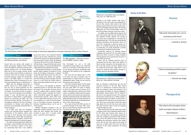—John Milton

Venezuela's one saving grace, oil produc- tion, falls to a 28-year low

Looking at the failed socialist state that is Venezuela, if you had to pick one probable lifeline for that country what would it be? Most people would answer "oil revenues" without giving it much thought. After all, what is the country selling the rest of the world besides crude? (In fact, 95% of export revenues come from crude.)

GE ANNOUNCED A \$6.2 BILLION INSURANCE write-off, then dropped the bomb

Incredibly, and incredibly depressing for the poor souls living under the iron socialist fist of the simpleton Nicolas Maduro, the country's one trump card is collapsing at a stunning rate. Oil production fell 11% in the one-month period between November and December alone. For all of 2017, production is down by nearly onethird—to 1.6 million barrels per day. To put that in perspective, US crude production currently sits at around 10 million barrels per day.

Venezuela's state-run oil company blames "sabotage and terrorism" for the steep output decline, yet offers no proof. In reality, complete mismanagement and a government structure in total chaos is the cause.

There will be national elections held in Venezuela later this year. After some degree of literal national starvation, the Venezuelan people must take charge and force Maduro and his socialist ilk from power. Sadly, there is zero chance he would let that happen through an election which he ultimately controls.

#### INDUSTRIAL CONGLOMERATES

Why an industrial conglomerate got into the insurance business in the first place belies logic; it is reminiscent of defunct Enron getting into industries which had nothing to do with energy, just before its massive implosion. Nonetheless, General Electric (GE \$17-**\$18**-\$31) did, and is now paying the price. The company announced it would eat an \$11 billion charge in the fourth-quarter, \$6.2 billion of which from a reevaluation of its long-term care insurance business. That news was enough to make their stock drop about 3%, but the real news came when CEO John Flannery made it clear the company would be broken up soon.

What would that look like? More than likely, a breakup means three separately-traded stocks for GE's three main business lines: power, aviation, and healthcare. The breakup would also mean the company would divest itself of other units, such as GE Capital, oil & gas, and lighting. Shedding the extraneous business lines makes sense, but GE will never again be the giant it once was. It didn't need to be this way. More evidence of the critical importance of strong leadership.

#### **Quotes of the Week**







*"The mind is of its own place and in itself, can make a Heaven of Hell, a Hell of Heaven."*

*"I dream of painting and then I paint* 

*my dream."*

—Vincent van Gogh

*"I like work; it fascinates me. I can sit and stare at it for hours"*

THE **IEA** CONFIRMS IT: US SHALE PRODUCers are OPEC's biggest threat

—Jerome K. Jerome

US slams Germany over allowance of new Russian natural gas pipeline

Several facts are certain with respect to Russia and Europe. Vladimir Putin's Achilles heel is the ability to sell Russian energy at the highest possible price—his military buildup plans live or die on energy revenue. Russia wants to either control Ukraine or destroy its economy. Putin will use energy as leverage to break European support for anti-Russian forces in the Baltic region. It is under this backdrop that a storm is brewing over a new natural gas pipeline known as Nord Stream 2.

Right now, the fledgling democracy in Ukraine receives (or is due) roughly \$3 billion per year in transit payments for the nearly one-half of all gas flowing from Russia to Europe. To put that amount in perspective, it is just shy of Ukraine's annual defense budget. A new, 760-mile-long gas pipeline known as Nord Stream 2 would bypass Ukraine by traversing the Baltic Sea and entering Germany directly. Construction of this pipeline would fly in the face of Europe's commitment to Ukraine and existing EU sanctions on the developer of Nord Stream 2, Russia's Gazprom.

As of right now, only one European country (not counting Russia) supports the construction of this pipeline, which could be ready in 2019: Germany. And Germany risks alienating its closest allies and angering developing Eastern European countries like Poland and Slovakia by its continued support.

The chief US State Department official for the region, A. Wess Mitchell, had some harsh words for Germany's support of the project, expressing hope that a new coalition

would scrap the plans. Mitchell also praised Denmark for passing a law blocking pipelines from traversing its waters which are deemed a threat to the country's security. Proponents of Nord Stream 2 argue that Denmark cannot stop the project, as it previously allowed the original Nord Stream pipeline to be built.

Strategically, Nord Stream 2 would double Russia's export capacity to Europe at a time when the European Commission is looking to diversify away Putin's power over the continent's energy needs (Russia now supplies one-third of all gas used in Europe). This also comes at a time when the United States is finally exporting liquefied natural gas to the continent.

In the end, it will probably be Merkel's weakened position in Germany that dooms the project. The chancellor has been forced to form a coalition with a number of disparate political groups, including the Greens, which vehemently oppose the pipeline on environmental grounds. Green Party leaders have stated that Germany must not use a new pipeline as a crutch to slow the adoption of renewable resources, especially as Germany completely phases out its use of nuclear power.

Merkel's disastrous showing in the 24 September national elections may end up being the best strategic gift Europe has received in years from a security standpoint—and Putin's worst nightmare.



### EUROPE **EUROPE ENERGY COMMODITIES**

The Paris-based (i.e. not a US shill) International Energy Agency has confirmed what we, as Americans, had hoped was true: the US energy renaissance, specifically shale production, will continue to be a nightmare for OPEC.

Ever since the Yom Kippur War in 1973, it has been the goal of (nearly) every US administration to make America an energyindependent nation. Today, we can truly say that goal has been achieved.

In its latest monthly report, the IEA stated that the re-ramping up of US shale production will make OPEC "not quite so happy" in 2018. The agency sees an increase of 1.6 million barrels per day in 2018 by non-OPEC nations, completely undermining the organization's plan to raise oil prices by cutting their members' production levels. This follows their failed attempt to push US shale producers to the brink of extinction by increasing production in 2016. Sweet revenge.

For a taste of what hell OPEC put the US consumer through in the early 1970s, members can click the link to read the story of The First Great American Oil Crisis.

## Humor

Passion

### Perspective



The Nord Stream 2 belies the EU's stated strategy of reducing its dependence on Russian natural gas. *Photo courtesy: Gazprom*



US gas lines in the early 1970s

#### **LATIN AMERICA**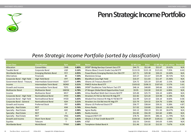## *Penn Strategic Income Portfolio (sorted by classification)*

| <b>Asset Class</b>                | <b>Classification</b>        | <b>Sym</b>     | <b>Yield</b> | <b>Name</b>                                       | 52 Wk Low | <b>Price</b> |          | 52 Wk High 1-yr return | <b>Duration</b> |
|-----------------------------------|------------------------------|----------------|--------------|---------------------------------------------------|-----------|--------------|----------|------------------------|-----------------|
| Allocation                        | Convertibles                 | <b>CWB</b>     | 3.80%        | SPDR <sup>®</sup> Blmbg Barclays Convert Secs ETF | \$44.75   | \$52.48      | \$52.67  | 19.62%                 | N/A             |
| <b>Taxable Bond</b>               | Corporate Bond               | LQD            | 3.16%        | iShares iBoxx \$ Invmt Grade Corp Bd ETF          | \$115.55  | \$121.19     | \$121.81 | 7.35%                  | 8.43            |
| Worldwide Bond                    | <b>Emerging Markets Bond</b> | <b>PCY</b>     | 4.95%        | PowerShares Emerging Markets Sov Dbt ETF          | \$27.71   | \$29.38      | \$30.23  | 10.40%                 | N/A             |
| Alternatives                      | <b>Financials</b>            | <b>BX</b>      | 7.33%        | <b>Blackstone Group</b>                           | \$25.57   | \$31.67      | \$35.09  | 30.72%                 | N/A             |
| Corporate Bond - High Yield       | <b>High Yield Bond</b>       | <b>HYT</b>     | 8.08%        | <b>BlackRock Corp High Yield</b>                  | \$10.37   | \$11.03      | \$11.47  | 15.46%                 | N/A             |
| <b>Government Bond - Treasury</b> | Intermediate Government      | GOVT           | 1.49%        | iShares US Treasury Bond ETF                      | \$24.72   | \$25.19      | \$25.60  | 2.15%                  | 6.08            |
| Income                            | Intermediate-Term Bond       | <b>BOND</b>    | 3.21%        | <b>PIMCO Active Bond ETF</b>                      | \$103.02  | \$106.51     | \$107.65 | 5.57%                  | 5.61            |
| Growth and Income                 | Intermediate-Term Bond       | <b>TOTL</b>    | 2.96%        | SPDR® DoubleLine Total Return Tact ETF            | \$48.14   | \$48.89      | \$49.66  | 3.28%                  | 4.30            |
| <b>Multisector Bond</b>           | <b>Multisector Bond</b>      | <b>GBOSX</b>   | 4.78%        | JP Morgan Global Bond Opportunities Fund          | \$9.95    | \$10.30      | \$10.32  | 6.06%                  | N/A             |
| Income                            | <b>Multisector Bond</b>      | <b>NFLT</b>    | 4.28%        | Virtus Newfleet Multi-Sect Uncons Bd ETF          | \$25.00   | \$25.73      | \$26.10  | 6.80%                  | N/A             |
| Corporate Bond - High Yield       | <b>Nontraditional Bond</b>   | <b>HYIH</b>    | 5.48%        | Xtrackers Hi Yld Cor Bd Intst Rt Hdg ETF          | \$22.82   | \$23.20      | \$23.98  | 6.18%                  | N/A             |
| Corporate Bond - High Yield       | <b>Nontraditional Bond</b>   | <b>HYZD</b>    | 5.03%        | Wisdom Tree Interest Rt Hdg Hi Yld Bd ETF         | \$22.99   | \$24.10      | \$26.10  | 8.60%                  | $-0.06$         |
| Corporate Bond - General          | <b>Nontraditional Bond</b>   | <b>IGIH</b>    | 3.21%        | Xtrackers Inv Grd Bd Intst Rt Hdg ETF             | \$23.79   | \$24.32      | \$24.76  | 5.50%                  | N/A             |
| Growth and Income                 | <b>Preferred Stock</b>       | <b>PFF</b>     | 6.09%        | <b>iShares US Preferred Stock ETF</b>             | \$36.77   | \$38.64      | \$39.31  | 9.28%                  | 4.87            |
| Specialty - Real Estate           | <b>REIT</b>                  | <b>KIM</b>     | 5.74%        | <b>Kimco Realty</b>                               | \$17.02   | \$18.80      | \$26.63  | $-24.10%$              | N/A             |
| Specialty - Real Estate           | <b>REIT</b>                  | <b>ADC</b>     | 3.98%        | <b>Agree Realty</b>                               | \$43.12   | \$50.19      | \$51.50  | 18.47%                 | N/A             |
| Specialty - Real Estate           | <b>REIT</b>                  | $\overline{O}$ | 4.46%        | <b>Realty Income</b>                              | \$52.85   | \$56.39      | \$63.60  | 4.98%                  | N/A             |
| Specialty - Real Estate           | <b>REIT</b>                  | <b>VNQ</b>     | 4.64%        | Vanguard REIT ETF                                 | \$78.76   | \$84.95      | \$86.16  | 11.79%                 | N/A             |
| <b>Growth and Income</b>          | <b>Short-Term Bond</b>       | <b>CSJ</b>     | 1.61%        | iShares 1-3 Year Credit Bond ETF                  | \$104.50  | \$104.87     | \$105.61 | 1.69%                  | 1.98            |
| <b>Equities</b>                   | Telecom                      |                | 5.63%        | AT&T                                              | \$32.55   | \$34.81      | \$43.03  | -5.56%                 | N/A             |
| <b>Worldwide Bond</b>             | <b>World Bond</b>            | <b>TPINX</b>   | 2.68%        | <b>Templeton Global Bond A</b>                    | \$11.46   | \$12.10      | \$12.55  | 7.67%                  | $-0.34$         |

<span id="page-10-0"></span>

# **Penn Strategic Income Portfolio**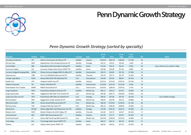# **Penn Dynamic Growth Strategy**

<span id="page-11-0"></span>

## *Penn Dynamic Growth Strategy (sorted by specialty)*



|                                      |               |                                                 |                 |               | <b>52 wk</b> |              |                             |                         |            |                               |
|--------------------------------------|---------------|-------------------------------------------------|-----------------|---------------|--------------|--------------|-----------------------------|-------------------------|------------|-------------------------------|
| <b>Specialty</b>                     | <b>Symbol</b> | <b>Name</b>                                     | <b>Function</b> | <b>Style</b>  | Low          | <b>Price</b> | <b>52 wk</b><br><b>High</b> | 1-year<br><b>Return</b> | <b>RSI</b> | <b>Notes</b>                  |
| Aerospace & Defense                  | <b>ITA</b>    | iShares US Aerospace & Defense ETF              | Satellite       | Industry      | \$140.20     | \$182.59     | \$184.60                    | 27.33%                  | 54         |                               |
| All-Cap Value                        | <b>RDIV</b>   | Oppenheimer Ultra Dividend Revenue ETF          | Satellite       | Strategy      | \$32.12      | \$35.03      | \$35.66                     | 7.34%                   | 62         |                               |
| Commodities                          | <b>DBC</b>    | PowerShares DB Commodity Tracking ETF           | Satellite       | Sector        | \$13.69      | \$16.32      | \$16.55                     | 9.33%                   | 63         | only in IRA accts to avoid K- |
| Consumer Staples                     | <b>XLP</b>    | Consumer Staples Select Sector SPDR® ETF        | Satellite       | Sector        | \$49.98      | \$54.98      | \$57.36                     | 9.88%                   | 59         |                               |
| <b>Currency Hedged Emerging Mkts</b> | <b>HEEM</b>   | iShares Currency Hedged MSCI Em Mkts ETF        | Satellite       | International | \$20.74      | \$26.85      | \$27.36                     | 27.36%                  | 51         |                               |
| Cybersecurity                        | <b>CIBR</b>   | First Trust NASDAQ Cybersecurity ETF            | Satellite       | Thematic      | \$19.29      | \$22.75      | \$22.78                     | 12.01%                  | 66         |                               |
| Foreign Large Blend                  | ESGD          | iShares MSCI EAFE ESG Optimized ETF             | Core            | International | \$54.09      | \$67.65      | \$68.07                     | 26.76%                  | 58         |                               |
| <b>Health Care</b>                   | <b>VHT</b>    | Vanguard Health Care ETF                        | Satellite       | Industry      | \$123.53     | \$153.02     | \$156.54                    | 20.74%                  | 53         |                               |
| <b>Inflation Protected</b>           | <b>TIP</b>    | iShares TIPS Bond ETF                           | Satellite       | Fixed Income  | \$110.90     | \$114.19     | \$115.46                    | 2.63%                   | 54         |                               |
| Intermediate-Term Taxable            | <b>BOND</b>   | PIMCO Active Bond ETF                           | Core            | Fixed Income  | \$103.02     | \$106.66     | \$107.65                    | 5.73%                   | 55         |                               |
| Large-Cap Blend                      | <b>PKW</b>    | PowerShares Buyback Achievers ETF               | Satellite       | Market Cap    | \$50.11      | \$56.24      | \$57.02                     | 10.82%                  | 49         |                               |
| Large-Cap Growth                     | <b>RPG</b>    | Guggenheim S&P 500 <sup>®</sup> Pure Growth ETF | Core            | Market Cap    | \$81.89      | \$105.71     | \$105.60                    | 24.99%                  | 64         |                               |
| Large-Cap Value-Low Vol              | SPLV          | PowerShares S&P 500 Low Volatility ETF          | Core            | Strategy      | \$40.25      | \$47.66      | \$47.39                     | 18.15%                  | 62         | Low volatility strategy       |
| Mid-Cap Blend                        | <b>NFO</b>    | Guggenheim Insider Sentiment ETF                | Satellite       | Market Cap    | \$48.87      | \$62.08      | \$62.24                     | 26.88%                  | 75         |                               |
| Mid-Cap Growth                       | <b>IWP</b>    | iShares Russell Mid-Cap Growth ETF              | Core            | Market Cap    | \$96.20      | \$119.05     | \$118.95                    | 21.15%                  | 66         |                               |
| Mid-Cap Value                        | <b>VOE</b>    | Vanguard Mid-Cap Value ETF                      | Core            | Market Cap    | \$96.33      | \$108.40     | \$108.06                    | 12.69%                  | 61         |                               |
| Momentum                             | <b>MTUM</b>   | iShares Edge MSCI USA Momentum Fctr ETF         | Satellite       | Strategy      | \$73.90      | \$102.42     | \$102.12                    | 35.30%                  | 63         |                               |
| Robotics & Al                        | <b>BOTZ</b>   | Global X Robotics & Artfcl Intllgnc ETF         | Satellite       | Thematic      | \$14.69      | \$24.70      | \$24.97                     | 63.32%                  | 71         |                               |
| Semiconductor                        | <b>XSD</b>    | SPDR® S&P Semiconductor ETF                     | Satellite       | Industry      | \$51.95      | \$73.77      | \$74.91                     | 32.67%                  | 62         |                               |
| Small Cap Growth                     | IJT           | iShares S&P Small-Cap 600 Growth ETF            | Core            | Market Cap    | \$143.99     | \$169.84     | \$170.29                    | 14.98%                  | 62         |                               |
| Technology                           | <b>XLK</b>    | Technology Select Sector SPDR® ETF              | Satellite       | Sector        | \$46.37      | \$64.72      | \$64.59                     | 36.52%                  | 71         |                               |
| <b>Utilities</b>                     | <b>XLU</b>    | Utilities Select Sector SPDR® ETF               | Satellite       | Sector        | \$46.04      | \$56.45      | \$57.23                     | 22.95%                  | 60         |                               |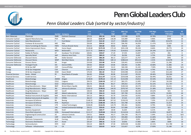# **Penn Global Leaders Club**

<span id="page-12-0"></span>

## *Penn Global Leaders Club (sorted by sector/industry)*

|                           |                                       |             |                                    | $1-Yr$   |              | $1-Yr$      | <b>Mkt Cap</b> | <b>Rev TTM</b> | <b>Prft Mgn</b> | Free \$ Flow | <b>PE</b> |
|---------------------------|---------------------------------------|-------------|------------------------------------|----------|--------------|-------------|----------------|----------------|-----------------|--------------|-----------|
| Sector                    | <b>Industry</b>                       |             | <b>Symbol Company</b>              | Low      | <b>Price</b> | <b>High</b> | (SM)           | (SM)           | <b>TTM</b>      | TTM (\$M)    | Ratio     |
| <b>Basic Materials</b>    | Chemicals                             | EMN         | <b>Eastman Chemical</b>            | \$73.52  | \$91.14      | 94.96       | \$13,100       | 9,375          | 10.76%          | \$712        | 13        |
| Consumer Cyclical         | <b>Apparel Manufacturing</b>          | <b>PVH</b>  | <b>PVH</b>                         | \$84.53  | \$135.47     | 136.84      | \$10,489       | 8,411          | 4.96%           | \$449        | 26        |
| <b>Consumer Cyclical</b>  | <b>Auto Manufacturers</b>             |             | Ford Motor                         | \$10.47  | \$12.10      | 13.27       | \$48,065       | 154,104        | 2.86%           | \$10,673     | 11        |
| <b>Consumer Cyclical</b>  | Footwear & Accessories                | <b>NKE</b>  | <b>Nike</b>                        | \$50.06  | \$59.32      | 60.53       | \$96,782       | 34,359         | 11.47%          | \$2,329      | 25        |
| <b>Consumer Cyclical</b>  | Home Furnishings & Fixtures           | <b>FBHS</b> | <b>Fortune Brands Home</b>         | \$53.15  | \$64.68      | 68.82       | \$9,818        | 5,202          | 8.62%           | \$484        | 23        |
| Consumer Cyclical         | Home Improvement Stores               | HD          | Home Depot                         | \$128.68 | \$172.33     | 173.10      | \$201,238      | 99,228         | 8.66%           | \$9,775      | 24        |
| <b>Consumer Cyclical</b>  | Restaurants                           | <b>MCD</b>  | McDonald's                         | \$117.71 | \$169.11     | 170.92      | \$134,812      | 23,509         | 24.19%          | \$3,372      | 24        |
| <b>Consumer Cyclical</b>  | Rubber & Plastics                     | GT          | Goodyear Tire & Rubber             | \$28.81  | \$30.67      | 37.20       | \$7,555        | 15,047         | 6.67%           | \$92         | 8         |
| <b>Consumer Cyclical</b>  | <b>Specialty Retail</b>               | AAP         | <b>Advance Auto Parts</b>          | \$78.81  | \$89.23      | 177.83      | \$6,594        | 9,420          | 3.75%           | \$259        | 19        |
| <b>Consumer Defensive</b> | <b>Discount Stores</b>                | DG          | <b>Dollar General</b>              | \$65.97  | \$86.28      | 88.13       | \$23,577       | 22,767         | 5.38%           | \$991        | 20        |
| <b>Consumer Defensive</b> | <b>Discount Stores</b>                | <b>WMT</b>  | <b>Wal-Mart Stores</b>             | \$65.28  | \$96.62      | 100.13      | \$288,623      | 495,012        | 2.31%           | \$18,878     | 26        |
| <b>Consumer Defensive</b> | <b>Grocery Stores</b>                 | KR          | Kroger                             | \$19.69  | \$22.98      | 36.44       | \$20,441       | 118,050        | 1.32%           | \$1,390      | 14        |
| <b>Consumer Defensive</b> | Packaged Foods                        | GIS         | <b>General Mills</b>               | \$49.65  | \$53.65      | 64.06       | \$30,491       | 15,481         | 10.68%          | \$1,886      | 19        |
| Energy                    | Oil & Gas E&P                         | <b>COP</b>  | ConocoPhillips                     | \$42.27  | \$50.47      | 54.22       | \$60,338       | 31,102         | $-7.94%$        | \$1,966      | N/A       |
| <b>Energy</b>             | Oil & Gas Integrated                  | <b>CVX</b>  | Chevron                            | \$102.55 | \$116.51     | 120.89      | \$221,296      | 135,603        | 4.79%           | \$4,376      | 34        |
| Energy                    | Oil & Gas Integrated                  | <b>XOM</b>  | <b>Exxon Mobil</b>                 | \$76.05  | \$81.42      | 93.22       | \$344,985      | 253,344        | 5.14%           | \$15,263     | 27        |
| <b>Financial Services</b> | <b>Banks - Global</b>                 | <b>RY</b>   | Royal Bank of Canada               | \$64.82  | \$79.63      | 80.98       | \$115,697      | 29,532         | 28.46%          | \$30,584     | 14        |
| <b>Financial Services</b> | <b>Credit Services</b>                | $\vee$      | Visa                               | \$75.17  | \$111.97     | 112.91      | \$254,038      | 18,358         | 36.49%          | \$8,501      | 40        |
| Healthcare                | Biotechnology                         | <b>AMGN</b> | Amgen                              | \$138.83 | \$170.12     | 191.10      | \$123,492      | 23,012         | 35.54%          | \$10,428     | 15        |
| Healthcare                | Biotechnology                         | <b>CELG</b> | Celgene                            | \$94.55  | \$104.50     | 147.17      | \$82,275       | 12,495         | 27.36%          | \$4,528      | 25        |
| Healthcare                | Biotechnology                         | GILD        | <b>Gilead Sciences</b>             | \$63.76  | \$72.46      | 86.27       | \$94,652       | 27,478         | 42.22%          | \$11,767     | 8         |
| Healthcare                | Drug Manufacturers - Major            | <b>BMY</b>  | <b>Bristol-Myers Squibb</b>        | \$46.01  | \$61.43      | 66.10       | \$100,542      | 20,570         | 20.56%          | \$4,221      | 24        |
| Healthcare                | Drug Manufacturers - Major            | JNJ         | Johnson & Johnson                  | \$109.32 | \$138.01     | 144.35      | \$370,767      | 74,361         | 21.28%          | \$18,472     | 24        |
| Healthcare                | Drug Manufacturers - Major            | SNY         | Sanofi                             | \$38.45  | \$46.10      | 50.65       | \$116,000      | 40,249         | 24.62%          | N/A          | 12        |
| Healthcare                | <b>Medical Devices</b>                | <b>ABT</b>  | <b>Abbott Laboratories</b>         | \$37.38  | \$56.13      | 56.69       | \$97,700       | 25,134         | 8.37%           | \$3,991      | 44        |
| Healthcare                | Medical Instruments & Supplies        | <b>BAX</b>  | <b>Baxter International</b>        | \$43.13  | \$64.12      | 65.70       | \$34,935       | 10,432         | 9.88%           | \$1,426      | 34        |
| Healthcare                | Medical Instruments & Supplies        | <b>STE</b>  | <b>STERIS</b>                      | \$64.37  | \$88.48      | 93.39       | \$7,525        | 2,570          | 5.59%           | \$279        | 53        |
| Industrials               | Aerospace & Defense                   | ΒA          | <b>Boeing</b>                      | \$148.32 | \$265.88     | 267.62      | \$158,352      | 91,310         | 7.33%           | \$11,238     | 24        |
| Industrials               | Aerospace & Defense                   | <b>RTN</b>  | Raytheon                           | \$137.70 | \$186.06     | 190.25      | \$53,788       | 24,789         | 8.69%           | \$1,657      | 25        |
| Industrials               | Aerospace & Defense                   | <b>UTX</b>  | <b>United Technologies</b>         | \$106.85 | \$116.91     | 124.79      | \$93,361       | 58,816         | 8.79%           | \$2,662      | 18        |
| Industrials               | Airlines                              | <b>UAL</b>  | <b>United Continental Holdings</b> | \$56.51  | \$59.43      | 83.04       | \$17,606       | 37,350         | 5.22%           | N/A          |           |
| Industrials               | <b>Business Equipment</b>             | KNL         | Knoll                              | \$16.57  | \$20.77      | 28.40       | \$1,025        | 1,110          | 6.21%           | \$24         | 15        |
| Industrials               | Diversified Industrials               | HON         | Honeywell International            | \$112.17 | \$149.66     | 150.43      | \$114,014      | 39,676         | 12.85%          | \$4,877      | 23        |
| Industrials               | <b>Engineering &amp; Construction</b> | JCI         | Johnson Controls                   | \$34.51  | \$36.91      | 46.17       | \$34,158       | 30,172         | 5.34%           | $-51,331$    | N/A       |
| Industrials               | Railroads                             | <b>UNP</b>  | <b>Union Pacific</b>               | \$100.10 | \$118.25     | 119.71      | \$93,083       | 20,958         | 21.84%          | \$4,176      | 21        |
| Technology                | <b>Electronic Components</b>          | GLW         | Corning                            | \$23.48  | \$31.85      | 32.33       | \$27,679       | 9,955          | 24.98%          | \$966        | 14        |
| Technology                | <b>Electronics Distribution</b>       | <b>AVT</b>  | Avnet                              | \$35.67  | \$40.16      | 51.50       | \$4,856        | 17,983         | 2.86%           | $-5609$      | 10        |
| Technology                | Semiconductors                        | <b>INTC</b> | Intel                              | \$33.23  | \$44.75      | 47.30       | \$209,430      | 62,082         | 22.31%          | \$11,780     | 16        |
| Technology                | Software - Infrastructure             | CA          | CA                                 | \$30.01  | \$32.63      | 36.54       | \$13,657       | 4,078          | 17.83%          | \$1,180      | 19        |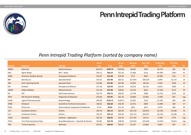# **Penn Intrepid Trading Platform**

<span id="page-13-0"></span>

## *Penn Intrepid Trading Platform (sorted by company name)*

| <b>Symbol</b> | <b>Company</b>                   | <b>Industry</b>                               | <b>52 wk</b><br>Low | <b>Price</b> | <b>52 wk</b><br><b>High</b> | <b>Mkt Cap</b><br>(\$M) | <b>Rev TTM</b><br>(SM) | <b>Profit Mgn</b><br><b>TTM</b> | <b>FCF TTM</b><br>(SM) | PE. |
|---------------|----------------------------------|-----------------------------------------------|---------------------|--------------|-----------------------------|-------------------------|------------------------|---------------------------------|------------------------|-----|
| <b>ABMD</b>   | Abiomed                          | <b>Medical Devices</b>                        | \$103.53            | \$199.74     | \$200.00                    | \$8,832                 | \$505                  | 18.27%                          | \$93                   | 98  |
| ADC           | <b>Agree Realty</b>              | REIT - Retail                                 | \$43.12             | \$50.19      | \$51.50                     | \$1,466                 | \$110                  | 49.26%                          | $-5267$                | 25  |
| <b>AOBC</b>   | <b>American Outdoor Brands</b>   | Aerospace & Defense                           | \$12.87             | \$13.28      | \$24.60                     | \$717                   | \$825                  | 10.96%                          | \$24                   | 8   |
| <b>BBY</b>    | Best Buy Co                      | <b>Specialty Retail</b>                       | \$41.67             | \$57.00      | \$63.32                     | \$17,054                | \$40,270               | 3.09%                           | \$1,727                | 14  |
| <b>DKS</b>    | <b>Dick's Sporting Goods</b>     | <b>Specialty Retail</b>                       | \$23.88             | \$27.86      | \$62.80                     | \$2,992                 | \$8,410                | 3.54%                           | \$190                  | 10  |
| <b>ERJ</b>    | Embraer                          | Aerospace & Defense                           | \$17.58             | \$19.39      | \$24.95                     | \$3,553                 | \$6,134                | 6.63%                           | $-5487$                | 9   |
| <b>GMED</b>   | <b>Globus Medical</b>            | <b>Medical Devices</b>                        | \$21.26             | \$37.08      | \$38.04                     | \$3,574                 | \$612                  | 17.54%                          | \$113                  | 34  |
| HF            | <b>HFF</b>                       | <b>Real Estate Services</b>                   | \$25.79             | \$45.72      | \$46.45                     | \$1,764                 | \$580                  | 15.21%                          | \$103                  | 20  |
| <b>INCR</b>   | <b>INC Research Holdings</b>     | Diagnostics & Research                        | \$33.60             | \$37.05      | \$61.10                     | \$3,866                 | \$2,001                | $-4.29%$                        | \$81                   | neg |
| <b>LGND</b>   | <b>Ligand Pharmaceuticals</b>    | Biotechnology                                 | \$95.08             | \$133.71     | \$149.31                    | \$2,822                 | \$129                  | 12.76%                          | \$83                   | 194 |
| <b>ORBK</b>   | Orbotech                         | <b>Scientific &amp; Technical Instruments</b> | \$28.01             | \$56.28      | \$56.44                     | \$2,701                 | \$859                  | 11.89%                          | \$69                   | 27  |
| <b>PLAB</b>   | Photronics                       | Semiconductor Equipment & Materials           | \$7.55              | \$9.45       | \$12.10                     | \$651                   | \$437                  | 2.97%                           | \$60                   | 50  |
| <b>LUV</b>    | <b>Southwest Airlines</b>        | <b>Airlines</b>                               | \$44.70             | \$55.14      | \$64.39                     | \$32,719                | \$20,973               | 10.12%                          | \$1,646                | 16  |
| <b>LUV</b>    | <b>Southwest Airlines</b>        | Airlines                                      | \$44.70             | \$55.14      | \$64.39                     | \$32,719                | \$20,973               | 10.12%                          | \$1,646                | 16  |
| <b>SYMC</b>   | Symantec                         | Software - Application                        | \$23.34             | \$28.56      | \$34.20                     | \$17,707                | \$4,571                | $-5.29%$                        | \$779                  | neg |
| <b>TEVA</b>   | <b>Teva Pharmaceutical Indus</b> | Drug Manufacturers - Specialty & Generic      | \$10.85             | \$13.70      | \$38.49                     | \$13,919                | \$23,418               | -24.35%                         | \$2,813                | neg |
| <b>TRN</b>    | <b>Trinity Industries</b>        | Railroads                                     | \$25.01             | \$34.04      | \$35.97                     | \$5,167                 | \$3,860                | 6.00%                           | \$87                   | 23  |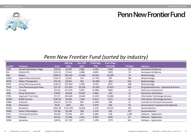# **Penn New Frontier Fund**

<span id="page-14-0"></span>

## *Penn New Frontier Fund (sorted by industry)*

|               |                                  |              | <b>Mkt Cap</b> | <b>Rev TTM</b> | <b>Profit Mgn</b> | Free \$ Flow |                 |                                               |
|---------------|----------------------------------|--------------|----------------|----------------|-------------------|--------------|-----------------|-----------------------------------------------|
| <b>Symbol</b> | <b>Company</b>                   | <b>Price</b> | (SM)           | (SM)           | <b>TTM</b>        | TTM (\$M)    | <b>PE Ratio</b> | <b>Industry</b>                               |
| <b>AJRD</b>   | Aerojet Rocketdyne Hldgs         | \$30.42      | \$2,285        | 1,881          | 3.24%             | \$108        | 36              | Aerospace & Defense                           |
| <b>OA</b>     | <b>Orbital ATK</b>               | \$132.45     | \$7,641        | 4,688          | 6.68%             | \$350        | 24              | Aerospace & Defense                           |
| <b>BIIB</b>   | <b>Biogen</b>                    | \$308.97     | \$65,340       | 11,839         | 29.44%            | \$2,699      | 19              | Biotechnology                                 |
| <b>LGND</b>   | <b>Ligand Pharmaceuticals</b>    | \$133.71     | \$2,822        | 129            | 12.76%            | \$83         | 194             | Biotechnology                                 |
| <b>NKTR</b>   | <b>Nektar Therapeutics</b>       | \$52.59      | \$8,281        | 250            | $-42.08%$         | $-562$       | N/A             | Biotechnology                                 |
| <b>VRTX</b>   | <b>Vertex Pharmaceuticals</b>    | \$146.55     | \$37,063       | 2,296          | 8.53%             | \$531        | 188             | Biotechnology                                 |
| <b>TEVA</b>   | <b>Teva Pharmaceutical Indus</b> | \$13.70      | \$13,919       | 23,418         | $-24.35%$         | \$2,813      | N/A             | Drug Manufacturers - Specialty & Generic      |
| <b>GLW</b>    | Corning                          | \$31.85      | \$27,679       | 9,955          | 24.98%            | \$966        | 14              | <b>Electronic Components</b>                  |
| <b>ARW</b>    | <b>Arrow Electronics</b>         | \$78.87      | \$6,938        | 25,622         | 2.00%             | \$29         | 14              | <b>Electronics Distribution</b>               |
| <b>CTSH</b>   | <b>Cognizant Tech Solns</b>      | \$72.27      | \$42,639       | 14,444         | 13.42%            | \$1,860      | 22              | <b>Information Technology Services</b>        |
| <b>EPAM</b>   | <b>EPAM Systems</b>              | \$106.78     | \$5,639        | 1,365          | 9.41%             | \$151        | 45              | <b>Information Technology Services</b>        |
| <b>ORBK</b>   | Orbotech                         | \$56.28      | \$2,701        | 859            | 11.89%            | \$69         | 27              | <b>Scientific &amp; Technical Instruments</b> |
| <b>PLAB</b>   | Photronics                       | \$9.45       | \$651          | 437            | 2.97%             | \$60         | 50              | Semiconductor Equipment & Materials           |
| <b>AVGO</b>   | <b>Broadcom</b>                  | \$282.38     | \$115,205      | 16,928         | 3.12%             | \$4,915      | 252             | <b>Semiconductors</b>                         |
| <b>HIMX</b>   | Himax Technologies               | \$13.06      | \$2,248        | 708            | 1.25%             | \$42         | 237             | <b>Semiconductors</b>                         |
| <b>CVLT</b>   | CommVault Systems                | \$54.90      | \$2,536        | 673            | 0.28%             | \$78         | 1,405           | Software - Application                        |
| <b>FTNT</b>   | Fortinet                         | \$41.91      | \$7,288        | 1,441          | 5.93%             | \$399        | 87              | Software - Application                        |
| <b>SYMC</b>   | Symantec                         | \$28.56      | \$17,707       | 4,571          | $-5.29%$          | \$779        | N/A             | Software - Application                        |